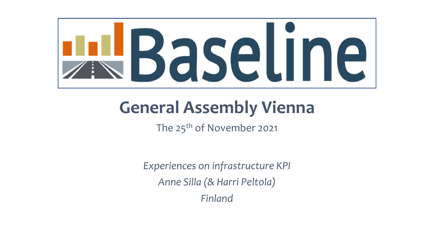

## **General Assembly Vienna**

The 25<sup>th</sup> of November 2021

*Experiences on infrastructure KPI Anne Silla (& Harri Peltola) Finland*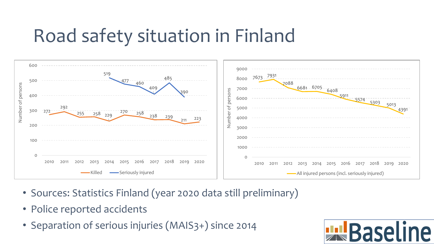## Road safety situation in Finland



- Sources: Statistics Finland (year 2020 data still preliminary)
- Police reported accidents
- Separation of serious injuries (MAIS3+) since 2014

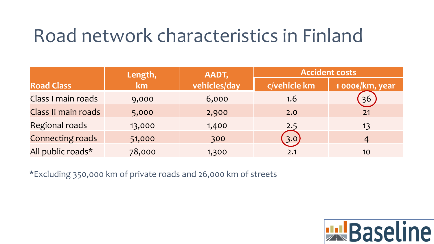## Road network characteristics in Finland

|                         | Length, | AADT,        | <b>Accident costs</b> |                |
|-------------------------|---------|--------------|-----------------------|----------------|
| <b>Road Class</b>       | km      | vehicles/day | c/vehicle km          | 1000€/km, year |
| Class I main roads      | 9,000   | 6,000        | 1.6                   | 36             |
| Class II main roads     | 5,000   | 2,900        | 2.0                   | 21             |
| <b>Regional roads</b>   | 13,000  | 1,400        | 2.5                   | 13             |
| <b>Connecting roads</b> | 51,000  | 300          | 3.0                   | 4              |
| All public roads*       | 78,000  | 1,300        | 2.1                   | 10             |

\*Excluding 350,000 km of private roads and 26,000 km of streets

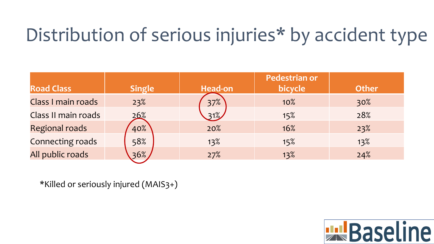## Distribution of serious injuries\* by accident type

|                         |               |                | <b>Pedestrian or</b> |              |
|-------------------------|---------------|----------------|----------------------|--------------|
| <b>Road Class</b>       | <b>Single</b> | <b>Head-on</b> | bicycle              | <b>Other</b> |
| Class I main roads      | 23%           | 37%            | 10%                  | 30%          |
| Class II main roads     | 26%           | $31\%$         | 15%                  | 28%          |
| <b>Regional roads</b>   | 40%           | 20%            | 16%                  | 23%          |
| <b>Connecting roads</b> | 58%           | 13%            | 15%                  | 13%          |
| All public roads        | 36%           | 27%            | 13%                  | 24%          |

\*Killed or seriously injured (MAIS3+)

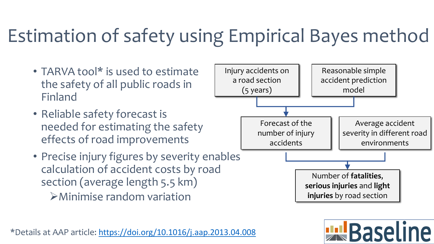## Estimation of safety using Empirical Bayes method

- TARVA tool\* is used to estimate the safety of all public roads in Finland
- Reliable safety forecast is needed for estimating the safety effects of road improvements
- Precise injury figures by severity enables calculation of accident costs by road section (average length 5.5 km) ➢Minimise random variation



**ELL** Baseline

**injuries** by road section

Reasonable simple

\*Details at AAP article: <https://doi.org/10.1016/j.aap.2013.04.008>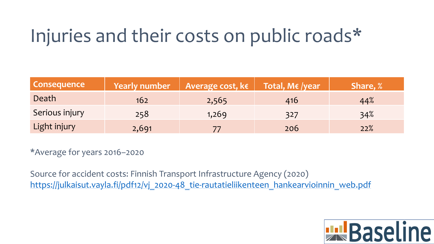## Injuries and their costs on public roads\*

| <b>Consequence</b> | Yearly number | Average cost, $\overline{\mathsf{k}\epsilon}$ Total, M $\epsilon$ /year |     | <b>Share, %</b> |
|--------------------|---------------|-------------------------------------------------------------------------|-----|-----------------|
| Death              | 162           | 2,565                                                                   | 416 | 44%             |
| Serious injury     | 258           | 1,269                                                                   | 327 | 34%             |
| Light injury       | 2,691         |                                                                         | 206 | 22%             |

\*Average for years 2016–2020

Source for accident costs: Finnish Transport Infrastructure Agency (2020) [https://julkaisut.vayla.fi/pdf12/vj\\_2020-48\\_tie-rautatieliikenteen\\_hankearvioinnin\\_web.pdf](https://julkaisut.vayla.fi/pdf12/vj_2020-48_tie-rautatieliikenteen_hankearvioinnin_web.pdf)

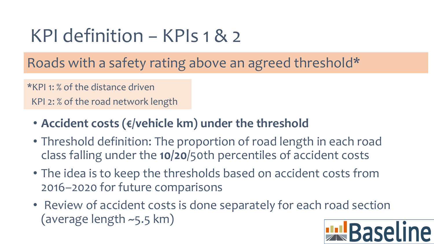## KPI definition − KPIs 1 & 2

Roads with a safety rating above an agreed threshold\*

\*KPI 1: % of the distance driven

KPI 2: % of the road network length

- **Accident costs (€/vehicle km) under the threshold**
- Threshold definition: The proportion of road length in each road class falling under the **10/20**/50th percentiles of accident costs
- The idea is to keep the thresholds based on accident costs from 2016–2020 for future comparisons
- Review of accident costs is done separately for each road section (average length ~5.5 km) <u> Il Baseline</u>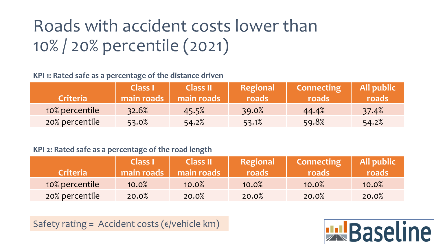## Roads with accident costs lower than 10% / 20% percentile (2021)

### **KPI 1: Rated safe as a percentage of the distance driven**

| <b>Criteria</b> | <b>Class I</b><br>main roads | <b>Class II</b><br>main roads | <b>Regional</b><br>roads | <b>Connecting</b><br>roads | <b>All public</b><br>roads |
|-----------------|------------------------------|-------------------------------|--------------------------|----------------------------|----------------------------|
| 10% percentile  | 32.6%                        | 45.5%                         | 39.0%                    | 44.4%                      | 37.4%                      |
| 20% percentile  | 53.0%                        | 54.2%                         | 53.1%                    | 59.8%                      | 54.2%                      |

#### **KPI 2: Rated safe as a percentage of the road length**

| <b>Criteria</b> | <b>Class I</b><br>main roads | <b>Class II</b><br>main roads | Regional<br>roads | <b>Connecting</b><br>roads | All public<br><i>roads/</i> |
|-----------------|------------------------------|-------------------------------|-------------------|----------------------------|-----------------------------|
| 10% percentile  | 10.0%                        | 10.0%                         | 10.0%             | 10.0%                      | 10.0%                       |
| 20% percentile  | 20.0%                        | 20.0%                         | 20.0%             | 20.0%                      | 20.0%                       |

Safety rating = Accident costs ( $\varepsilon$ /vehicle km)

## **En Baseline**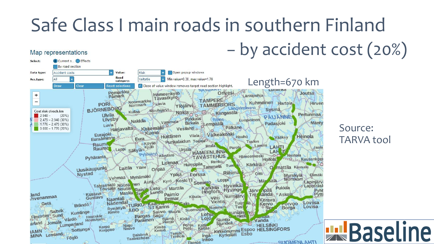# Safe Class I main roads in southern Finland

### − by accident cost (20%)



Map representations

Source: TARVA tool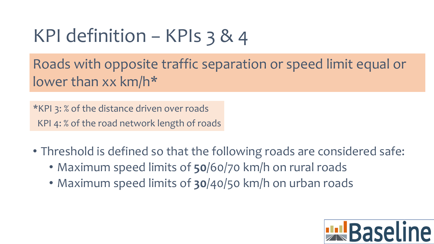## KPI definition − KPIs 3 & 4

Roads with opposite traffic separation or speed limit equal or lower than xx km/h\*

\*KPI 3: % of the distance driven over roads KPI 4: % of the road network length of roads

- Threshold is defined so that the following roads are considered safe:
	- Maximum speed limits of **50**/60/70 km/h on rural roads
	- Maximum speed limits of **30**/40/50 km/h on urban roads

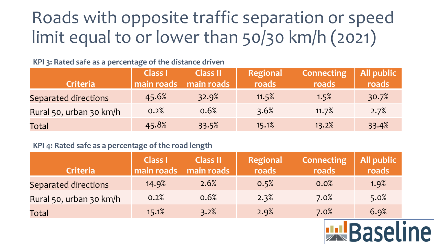## Roads with opposite traffic separation or speed limit equal to or lower than 50/30 km/h (2021)

#### **KPI 3: Rated safe as a percentage of the distance driven**

|                             | <b>Class I</b> | <b>Class II</b> | <b>Regional</b> | <b>Connecting</b> | All public |
|-----------------------------|----------------|-----------------|-----------------|-------------------|------------|
| <b>Criteria</b>             | main roads     | main roads      | roads           | roads             | roads      |
| <b>Separated directions</b> | 45.6%          | 32.9%           | 11.5%           | 1.5%              | 30.7%      |
| Rural 50, urban 30 km/h     | 0.2%           | 0.6%            | 3.6%            | 11.7%             | 2.7%       |
| Total                       | 45.8%          | 33.5%           | 15.1%           | 13.2%             | 33.4%      |

### **KPI 4: Rated safe as a percentage of the road length**

| <b>Criteria</b>             | <b>Class I</b><br>main roads | <b>Class II</b><br>main roads | Regional<br>roads | <b>Connecting</b><br>roads | All public<br>roads |
|-----------------------------|------------------------------|-------------------------------|-------------------|----------------------------|---------------------|
| <b>Separated directions</b> | 14.9%                        | 2.6%                          | 0.5%              | 0.0%                       | 1.9%                |
| Rural 50, urban 30 km/h     | 0.2%                         | 0.6%                          | 2.3%              | 7.0%                       | 5.0%                |
| Total                       | 15.1%                        | 3.2%                          | 2.9%              | 7.0%                       | 6.9%                |

**ELBaseline**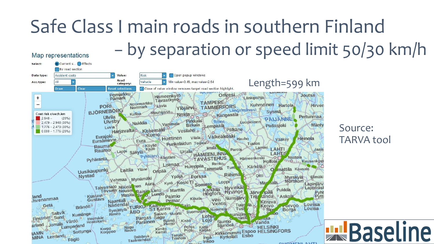### Safe Class I main roads in southern Finland− by separation or speed limit 50/30 km/h Map representations



Source: TARVA tool

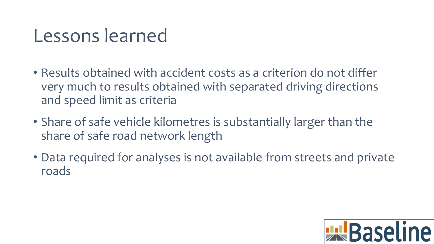## Lessons learned

- Results obtained with accident costs as a criterion do not differ very much to results obtained with separated driving directions and speed limit as criteria
- Share of safe vehicle kilometres is substantially larger than the share of safe road network length
- Data required for analyses is not available from streets and private roads